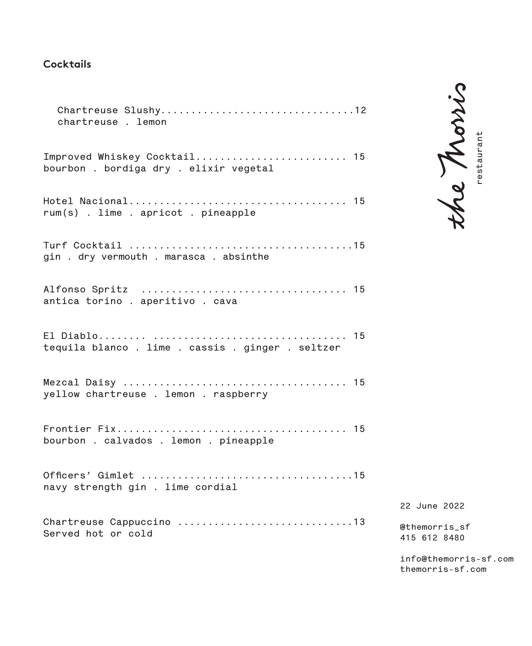# **Cocktails**

| Chartreuse Slushy12<br>chartreuse . lemon                            |
|----------------------------------------------------------------------|
| Improved Whiskey Cocktail 15<br>bourbon. bordiga dry. elixir vegetal |
| rum(s). lime . apricot . pineapple                                   |
| gin . dry vermouth . marasca . absinthe                              |
| antica torino . aperitivo . cava                                     |
| tequila blanco. lime. cassis. ginger. seltzer                        |
| yellow chartreuse . lemon . raspberry                                |
| bourbon . calvados . lemon . pineapple                               |
| navy strength gin . lime cordial                                     |
| Served hot or cold                                                   |
|                                                                      |

the Morris Property and the morris-sf.com<br>
themorris-sf.com<br>
themorris-sf.com<br>
themorris-sf.com

**22 June 2022**

**@themorris\_sf 415 612 8480**

**info@themorris-sf.com** themorris-sf.com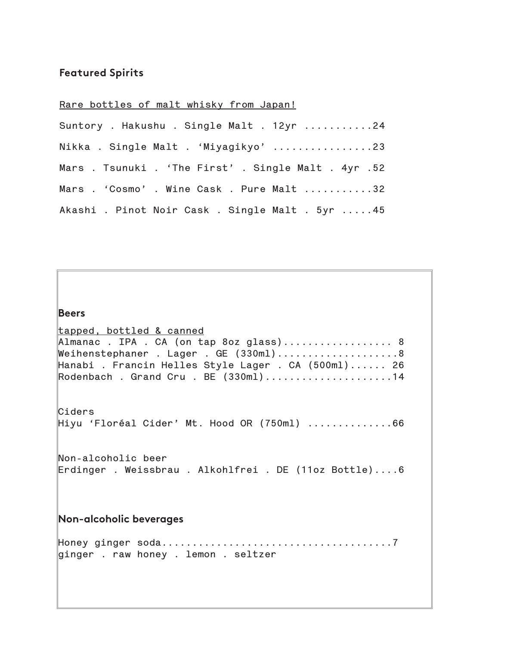# **Featured Spirits**

# **Rare bottles of malt whisky from Japan!**

| Suntory . Hakushu . Single Malt . 12yr 24            |
|------------------------------------------------------|
| Nikka . Single Malt . 'Miyagikyo' 23                 |
| Mars . Tsunuki . 'The First' . Single Malt . 4yr .52 |
| Mars . 'Cosmo' . Wine Cask . Pure Malt 32            |
| Akashi . Pinot Noir Cask . Single Malt . 5yr 45      |

| <b>Beers</b>                                                                                                                                                                                                          |
|-----------------------------------------------------------------------------------------------------------------------------------------------------------------------------------------------------------------------|
| tapped, bottled & canned<br>Almanac. IPA. CA (on tap 8oz glass) 8<br>Weihenstephaner . Lager . GE (330ml)8<br>Hanabi . Francin Helles Style Lager . CA (500ml) 26<br>$\mathbb R$ odenbach. Grand Cru. BE $(330m1)$ 14 |
| Ciders<br>$\parallel$ Hiyu 'Floréal Cider' Mt. Hood OR (750ml) $\ldots \ldots \ldots \ldots 66$                                                                                                                       |
| $Mon-alcoholic beer$<br>Erdinger . Weissbrau . Alkohlfrei . DE (11oz Bottle)6                                                                                                                                         |
| <b>Non-alcoholic beverages</b>                                                                                                                                                                                        |
| ginger . raw honey . lemon . seltzer                                                                                                                                                                                  |
|                                                                                                                                                                                                                       |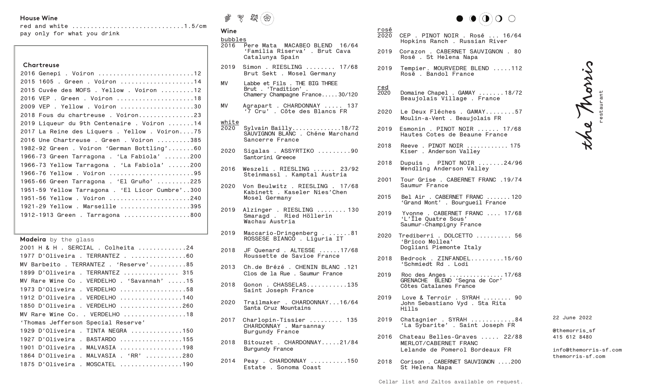## **House Wine**

|  | pay only for what you drink |  |
|--|-----------------------------|--|

| Chartreuse<br>2016 Genepi . Voiron 12<br>2015 1605 . Green . Voiron 14<br>2015 Cuvée des MOFS . Yellow . Voiron 12<br>2016 VEP . Green . Voiron 18<br>2009 VEP . Yellow . Voiron 30<br>2018 Fous du chartreuse. Voiron23<br>2019 Liqueur du 9th Centenaire . Voiron 14<br>2017 La Reine des Liquers . Yellow . Voiron75<br>2016 Une Chartreuse . Green . Voiron 385<br>1982-92 Green . Voiron 'German Bottling'60<br>1966-73 Green Tarragona . 'La Fabiola' 200<br>1966-73 Yellow Tarragona . 'La Fabiola' 200<br>1966-76 Yellow . Voiron 95<br>1965-66 Green Tarragona . 'El Gruño' 225 |
|------------------------------------------------------------------------------------------------------------------------------------------------------------------------------------------------------------------------------------------------------------------------------------------------------------------------------------------------------------------------------------------------------------------------------------------------------------------------------------------------------------------------------------------------------------------------------------------|
|                                                                                                                                                                                                                                                                                                                                                                                                                                                                                                                                                                                          |
|                                                                                                                                                                                                                                                                                                                                                                                                                                                                                                                                                                                          |
|                                                                                                                                                                                                                                                                                                                                                                                                                                                                                                                                                                                          |
|                                                                                                                                                                                                                                                                                                                                                                                                                                                                                                                                                                                          |
|                                                                                                                                                                                                                                                                                                                                                                                                                                                                                                                                                                                          |
|                                                                                                                                                                                                                                                                                                                                                                                                                                                                                                                                                                                          |
|                                                                                                                                                                                                                                                                                                                                                                                                                                                                                                                                                                                          |
|                                                                                                                                                                                                                                                                                                                                                                                                                                                                                                                                                                                          |
|                                                                                                                                                                                                                                                                                                                                                                                                                                                                                                                                                                                          |
|                                                                                                                                                                                                                                                                                                                                                                                                                                                                                                                                                                                          |
|                                                                                                                                                                                                                                                                                                                                                                                                                                                                                                                                                                                          |
|                                                                                                                                                                                                                                                                                                                                                                                                                                                                                                                                                                                          |
|                                                                                                                                                                                                                                                                                                                                                                                                                                                                                                                                                                                          |
|                                                                                                                                                                                                                                                                                                                                                                                                                                                                                                                                                                                          |
|                                                                                                                                                                                                                                                                                                                                                                                                                                                                                                                                                                                          |
| 1951-59 Yellow Tarragona . 'El Licor Cumbre'300                                                                                                                                                                                                                                                                                                                                                                                                                                                                                                                                          |
| 1951-56 Yellow . Voiron 240                                                                                                                                                                                                                                                                                                                                                                                                                                                                                                                                                              |
| 1921-29 Yellow . Marseille 395                                                                                                                                                                                                                                                                                                                                                                                                                                                                                                                                                           |
| 1912-1913 Green . Tarragona 800                                                                                                                                                                                                                                                                                                                                                                                                                                                                                                                                                          |

**Madeira** by the glass

| 2001 H & H . SERCIAL . Colheita 24         |
|--------------------------------------------|
| 1977 D'Oliveira. TERRANTEZ. 60             |
| MV Barbeito . TERRANTEZ . 'Reserve'85      |
| 1899 D'Oliveira . TERRANTEZ  315           |
| MV Rare Wine Co . VERDELHO . 'Savannah' 15 |
| 1973 D'Oliveira . VERDELHO 58              |
| 1912 D'Oliveira . VERDELHO 140             |
| 1850 D'Oliveira . VERDELHO 260             |
| MV Rare Wine Co. . VERDELHO 18             |
| 'Thomas Jefferson Special Reserve'         |
| 1929 D'Oliveira . TINTA NEGRA 150          |
| 1927 D'Oliveira . BASTARDO 155             |
| 1901 D'Oliveira . MALVASIA 198             |
| 1864 D'Oliveira . MALVASIA . 'RR' 280      |
| 1875 D'Oliveira . MOSCATEL 190             |



# **Wine**  $rac{b}{2}$

| bubbles |                                                                                             |
|---------|---------------------------------------------------------------------------------------------|
|         | 2016   Pere Mata   MACABEO BLEND   16/64<br>'Familia Riserva'. Brut Cava<br>Catalunya Spain |
|         | 2019  Simon . RIESLING  17/68<br>Brut Sekt . Mosel Germany                                  |
|         | MV - Labbe et Fils - THE RTG THREE                                                          |

- **MV Labbe et Fils . THE BIG THREE Brut . 'Tradition' . Chamery Champagne France.....30/120**
- **MV Agrapart . CHARDONNAY ..... 137 '7 Cru' . Côte des Blancs FR**

## **white**

- **2020 Sylvain Bailly..............18/72 SAUVIGNON BLANC . Chéne Marchand Sancerre France**
- **2020 Sigalas . ASSYRTIKO .........90 Santorini Greece**
- **2016 Weszeli . RIESLING ...... 23/92 Steinmassl . Kamptal Austria**
- **2020 Von Beulwitz . RIESLING . 17/68 Kabinett . Kaseler Nies'Chen Mosel Germany**
- **2019 Alzinger . RIESLING ........ 130 Smaragd . Ried Höllerin Wachau Austria**
- **2019 Maccario-Dringenberg . ......81 ROSSESE BIANCO . Liguria IT**
- **2018 JF Quenard . ALTESSE ......17/68 Roussette de Savioe France**
- **2013 Ch.de Brézé . CHENIN BLANC .121 Clos de la Rue . Saumur France**
- **2018 Gonon . CHASSELAS...........135 Saint Joseph France**
- **2020 Trailmaker . CHARDONNAY...16/64 Santa Cruz Mountains**
- **2017 Charlopin-Tissier ......... 135 CHARDONNAY . Marsannay Burgundy France**
- **2018 Bitouzet . CHARDONNAY.....21/84 Burgundy France**
- **2014 Peay . CHARDONNAY ..........150 Estate . Sonoma Coast**



| rosé<br>$\frac{1}{2020}$ | CEP . PINOT NOIR . Rosé  16/64<br>Hopkins Ranch . Russian River           |
|--------------------------|---------------------------------------------------------------------------|
| 2019                     | Corazon, CABERNET SAUVIGNON, 80<br>Rosé . St Helena Napa                  |
| 2019                     | Tempier. MOURVEDRE BLEND 112<br>Rosé, Bandol France                       |
| $red$<br>2020            | Domaine Chapel . GAMAY 18/72<br>Beaujolais Village . France               |
| 2020                     | Le Deux Fléches . GAMAY57<br>Moulin-a-Vent . Beaujolais FR                |
| 2019                     | $E$ smonin . PINOT NOIR $\ldots$ . 17/68<br>Hautes Cotes de Beaune France |
| 2018                     | Reeve . PINOT NOIR  175<br>Kiser . Anderson Valley                        |

- **2018 Dupuis . PINOT NOIR .......24/96 Wendling Anderson Valley**
- **2001 Tour Grise . CABERNET FRANC .19/74 Saumur France**
- **2015 Bel Air . CABERNET FRANC ....... 120 'Grand Mont' . Bourgueil France**
- **2019 Yvonne . CABERNET FRANC .... 17/68 'L'Île Quatre Sous' Saumur-Champigny France**
- **2020 Trediberri . DOLCETTO .......... 56 'Bricco Mollea' Dogliani Piemonte Italy**
- **2018 Bedrock . ZINFANDEL.........15/60 'Schmiedt Rd . Lodi**
- **2019 Roc des Anges ................17/68 GRENACHE BLEND 'Segna de Cor' Côtes Catalanes France**
- **2019 Love & Terroir . SYRAH ........ 90 John Sebastiano Vyd . Sta Rita Hills**
- **2019 Chatagnier . SYRAH ............84 'La Sybarite' . Saint Joseph FR**
- **2016 Chateau Belles-Graves ..... 22/88 MERLOT/CABERNET FRANC Lelande de Pomerol Bordeaux FR**
- **2018 Corison . CABERNET SAUVIGNON ....200 St Helena Napa**

the Morris **restaurant**

**22 June 2022**

#### **@themorris\_sf 415 612 8480**

**info@themorris-sf.com themorris-sf.com**